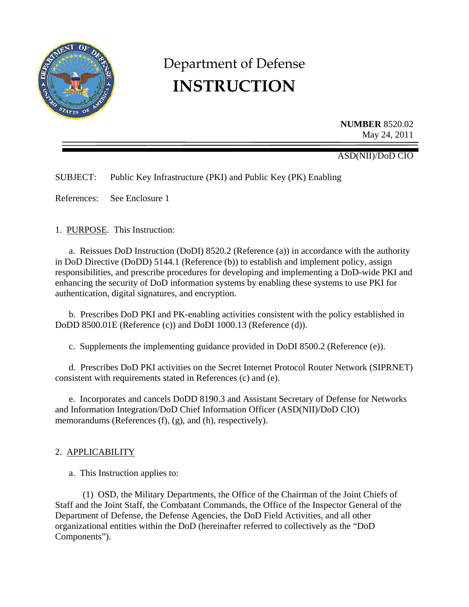

# Department of Defense **INSTRUCTION**

**NUMBER** 8520.02 May 24, 2011

## ASD(NII)/DoD CIO

SUBJECT: Public Key Infrastructure (PKI) and Public Key (PK) Enabling

References: See Enclosure 1

1. PURPOSE. This Instruction:

 a. Reissues DoD Instruction (DoDI) 8520.2 (Reference (a)) in accordance with the authority in DoD Directive (DoDD) 5144.1 (Reference (b)) to establish and implement policy, assign responsibilities, and prescribe procedures for developing and implementing a DoD-wide PKI and enhancing the security of DoD information systems by enabling these systems to use PKI for authentication, digital signatures, and encryption.

 b. Prescribes DoD PKI and PK-enabling activities consistent with the policy established in DoDD 8500.01E (Reference (c)) and DoDI 1000.13 (Reference (d)).

c. Supplements the implementing guidance provided in DoDI 8500.2 (Reference (e)).

 d. Prescribes DoD PKI activities on the Secret Internet Protocol Router Network (SIPRNET) consistent with requirements stated in References (c) and (e).

e. Incorporates and cancels DoDD 8190.3 and Assistant Secretary of Defense for Networks and Information Integration/DoD Chief Information Officer (ASD(NII)/DoD CIO) memorandums (References (f), (g), and (h), respectively).

## 2. APPLICABILITY

a. This Instruction applies to:

(1) OSD, the Military Departments, the Office of the Chairman of the Joint Chiefs of Staff and the Joint Staff, the Combatant Commands, the Office of the Inspector General of the Department of Defense, the Defense Agencies, the DoD Field Activities, and all other organizational entities within the DoD (hereinafter referred to collectively as the "DoD Components").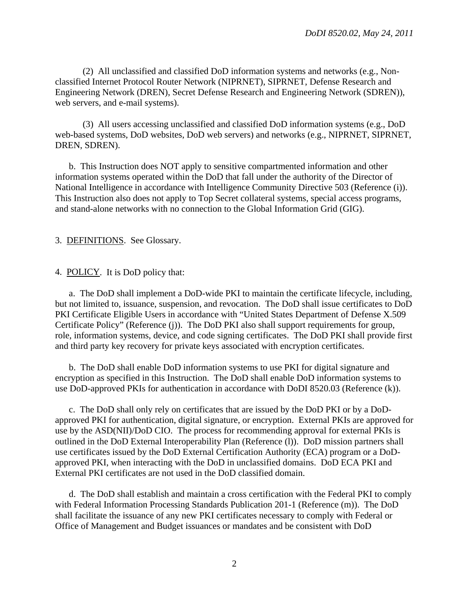(2) All unclassified and classified DoD information systems and networks (e.g., Nonclassified Internet Protocol Router Network (NIPRNET), SIPRNET, Defense Research and Engineering Network (DREN), Secret Defense Research and Engineering Network (SDREN)), web servers, and e-mail systems).

(3) All users accessing unclassified and classified DoD information systems (e.g., DoD web-based systems, DoD websites, DoD web servers) and networks (e.g., NIPRNET, SIPRNET, DREN, SDREN).

b. This Instruction does NOT apply to sensitive compartmented information and other information systems operated within the DoD that fall under the authority of the Director of National Intelligence in accordance with Intelligence Community Directive 503 (Reference (i)). This Instruction also does not apply to Top Secret collateral systems, special access programs, and stand-alone networks with no connection to the Global Information Grid (GIG).

3. DEFINITIONS. See Glossary.

4. POLICY. It is DoD policy that:

 a. The DoD shall implement a DoD-wide PKI to maintain the certificate lifecycle, including, but not limited to, issuance, suspension, and revocation. The DoD shall issue certificates to DoD PKI Certificate Eligible Users in accordance with "United States Department of Defense X.509 Certificate Policy" (Reference (j)). The DoD PKI also shall support requirements for group, role, information systems, device, and code signing certificates. The DoD PKI shall provide first and third party key recovery for private keys associated with encryption certificates.

 b. The DoD shall enable DoD information systems to use PKI for digital signature and encryption as specified in this Instruction. The DoD shall enable DoD information systems to use DoD-approved PKIs for authentication in accordance with DoDI 8520.03 (Reference (k)).

 c. The DoD shall only rely on certificates that are issued by the DoD PKI or by a DoDapproved PKI for authentication, digital signature, or encryption. External PKIs are approved for use by the ASD(NII)/DoD CIO. The process for recommending approval for external PKIs is outlined in the DoD External Interoperability Plan (Reference (1)). DoD mission partners shall use certificates issued by the DoD External Certification Authority (ECA) program or a DoDapproved PKI, when interacting with the DoD in unclassified domains. DoD ECA PKI and External PKI certificates are not used in the DoD classified domain.

 d. The DoD shall establish and maintain a cross certification with the Federal PKI to comply with Federal Information Processing Standards Publication 201-1 (Reference (m)). The DoD shall facilitate the issuance of any new PKI certificates necessary to comply with Federal or Office of Management and Budget issuances or mandates and be consistent with DoD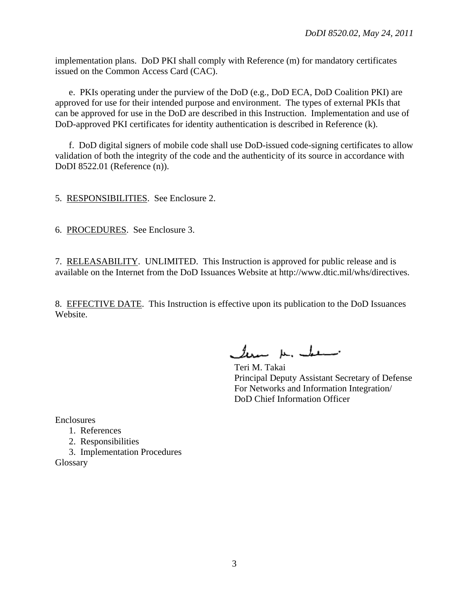implementation plans. DoD PKI shall comply with Reference (m) for mandatory certificates issued on the Common Access Card (CAC).

 e. PKIs operating under the purview of the DoD (e.g., DoD ECA, DoD Coalition PKI) are approved for use for their intended purpose and environment. The types of external PKIs that can be approved for use in the DoD are described in this Instruction. Implementation and use of DoD-approved PKI certificates for identity authentication is described in Reference (k).

 f. DoD digital signers of mobile code shall use DoD-issued code-signing certificates to allow validation of both the integrity of the code and the authenticity of its source in accordance with DoDI 8522.01 (Reference (n)).

5. RESPONSIBILITIES. See Enclosure 2.

6. PROCEDURES. See Enclosure 3.

7. RELEASABILITY. UNLIMITED. This Instruction is approved for public release and is available on the Internet from the DoD Issuances Website at http://www.dtic.mil/whs/directives.

8. EFFECTIVE DATE. This Instruction is effective upon its publication to the DoD Issuances Website.

leve k. he

Teri M. Takai Principal Deputy Assistant Secretary of Defense For Networks and Information Integration/ DoD Chief Information Officer

Enclosures

- 1. References
- 2. Responsibilities
- 3. Implementation Procedures

Glossary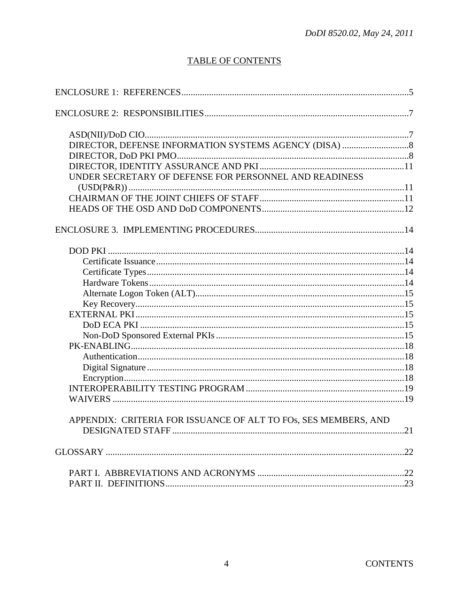# **TABLE OF CONTENTS**

| UNDER SECRETARY OF DEFENSE FOR PERSONNEL AND READINESS<br>APPENDIX: CRITERIA FOR ISSUANCE OF ALT TO FOS, SES MEMBERS, AND |  |
|---------------------------------------------------------------------------------------------------------------------------|--|
|                                                                                                                           |  |
|                                                                                                                           |  |
|                                                                                                                           |  |
|                                                                                                                           |  |
|                                                                                                                           |  |
|                                                                                                                           |  |
|                                                                                                                           |  |
|                                                                                                                           |  |
|                                                                                                                           |  |
|                                                                                                                           |  |
|                                                                                                                           |  |
|                                                                                                                           |  |
|                                                                                                                           |  |
|                                                                                                                           |  |
|                                                                                                                           |  |
|                                                                                                                           |  |
|                                                                                                                           |  |
|                                                                                                                           |  |
|                                                                                                                           |  |
|                                                                                                                           |  |
|                                                                                                                           |  |
|                                                                                                                           |  |
|                                                                                                                           |  |
|                                                                                                                           |  |
|                                                                                                                           |  |
|                                                                                                                           |  |
|                                                                                                                           |  |
|                                                                                                                           |  |
|                                                                                                                           |  |
|                                                                                                                           |  |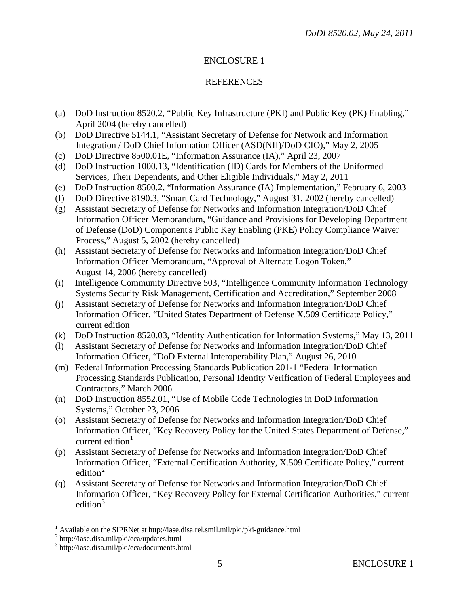## ENCLOSURE 1

## REFERENCES

- (a) DoD Instruction 8520.2, "Public Key Infrastructure (PKI) and Public Key (PK) Enabling," April 2004 (hereby cancelled)
- (b) DoD Directive 5144.1, "Assistant Secretary of Defense for Network and Information Integration / DoD Chief Information Officer (ASD(NII)/DoD CIO)," May 2, 2005
- (c) DoD Directive 8500.01E, "Information Assurance (IA)," April 23, 2007
- (d) DoD Instruction 1000.13, "Identification (ID) Cards for Members of the Uniformed Services, Their Dependents, and Other Eligible Individuals," May 2, 2011
- (e) DoD Instruction 8500.2, "Information Assurance (IA) Implementation," February 6, 2003
- (f) DoD Directive 8190.3, "Smart Card Technology," August 31, 2002 (hereby cancelled)
- (g) Assistant Secretary of Defense for Networks and Information Integration/DoD Chief Information Officer Memorandum, "Guidance and Provisions for Developing Department of Defense (DoD) Component's Public Key Enabling (PKE) Policy Compliance Waiver Process," August 5, 2002 (hereby cancelled)
- (h) Assistant Secretary of Defense for Networks and Information Integration/DoD Chief Information Officer Memorandum, "Approval of Alternate Logon Token," August 14, 2006 (hereby cancelled)
- (i) Intelligence Community Directive 503, "Intelligence Community Information Technology Systems Security Risk Management, Certification and Accreditation," September 2008
- (j) Assistant Secretary of Defense for Networks and Information Integration/DoD Chief Information Officer, "United States Department of Defense X.509 Certificate Policy," current edition
- (k) DoD Instruction 8520.03, "Identity Authentication for Information Systems," May 13, 2011
- (l) Assistant Secretary of Defense for Networks and Information Integration/DoD Chief Information Officer, "DoD External Interoperability Plan," August 26, 2010
- (m) Federal Information Processing Standards Publication 201-1 "Federal Information Processing Standards Publication, Personal Identity Verification of Federal Employees and Contractors," March 2006
- (n) DoD Instruction 8552.01, "Use of Mobile Code Technologies in DoD Information Systems," October 23, 2006
- (o) Assistant Secretary of Defense for Networks and Information Integration/DoD Chief Information Officer, "Key Recovery Policy for the United States Department of Defense," current edition $1$
- (p) Assistant Secretary of Defense for Networks and Information Integration/DoD Chief Information Officer, "External Certification Authority, X.509 Certificate Policy," current edition<sup>[2](#page-4-1)</sup>
- (q) Assistant Secretary of Defense for Networks and Information Integration/DoD Chief Information Officer, "Key Recovery Policy for External Certification Authorities," current edition $3$

<span id="page-4-0"></span> $\overline{a}$ <sup>1</sup> Available on the SIPRNet at http://iase.disa.rel.smil.mil/pki/pki-guidance.html

<span id="page-4-1"></span><sup>&</sup>lt;sup>2</sup> http://iase.disa.mil/pki/eca/updates.html

<span id="page-4-2"></span><sup>3</sup> http://iase.disa.mil/pki/eca/documents.html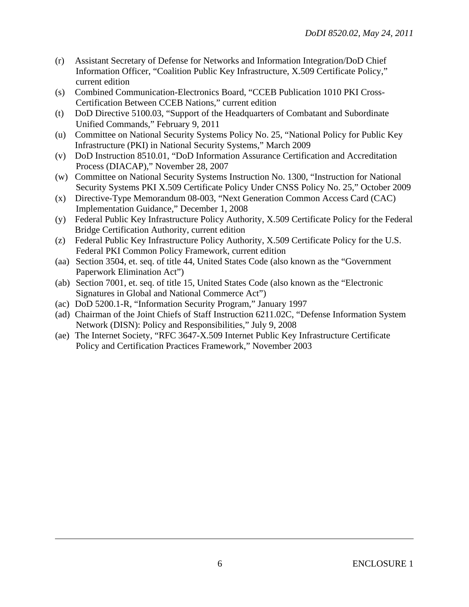- (r) Assistant Secretary of Defense for Networks and Information Integration/DoD Chief Information Officer, "Coalition Public Key Infrastructure, X.509 Certificate Policy," current edition
- (s) Combined Communication-Electronics Board, "CCEB Publication 1010 PKI Cross-Certification Between CCEB Nations," current edition
- (t) DoD Directive 5100.03, "Support of the Headquarters of Combatant and Subordinate Unified Commands," February 9, 2011
- (u) Committee on National Security Systems Policy No. 25, "National Policy for Public Key Infrastructure (PKI) in National Security Systems," March 2009
- (v) DoD Instruction 8510.01, "DoD Information Assurance Certification and Accreditation Process (DIACAP)," November 28, 2007
- (w) Committee on National Security Systems Instruction No. 1300, "Instruction for National Security Systems PKI X.509 Certificate Policy Under CNSS Policy No. 25," October 2009
- (x) Directive-Type Memorandum 08-003, "Next Generation Common Access Card (CAC) Implementation Guidance," December 1, 2008
- (y) Federal Public Key Infrastructure Policy Authority, X.509 Certificate Policy for the Federal Bridge Certification Authority, current edition
- (z) Federal Public Key Infrastructure Policy Authority, X.509 Certificate Policy for the U.S. Federal PKI Common Policy Framework, current edition
- (aa) Section 3504, et. seq. of title 44, United States Code (also known as the "Government Paperwork Elimination Act")
- (ab) Section 7001, et. seq. of title 15, United States Code (also known as the "Electronic Signatures in Global and National Commerce Act")
- (ac) DoD 5200.1-R, "Information Security Program," January 1997
- (ad) Chairman of the Joint Chiefs of Staff Instruction 6211.02C, "Defense Information System Network (DISN): Policy and Responsibilities," July 9, 2008
- (ae) The Internet Society, "RFC 3647-X.509 Internet Public Key Infrastructure Certificate Policy and Certification Practices Framework," November 2003

<u>.</u>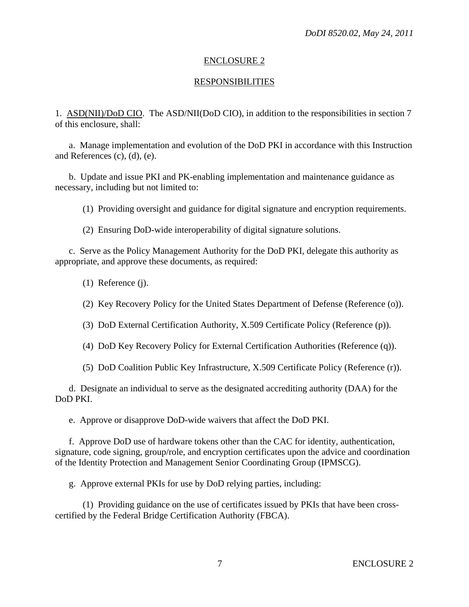#### ENCLOSURE 2

#### RESPONSIBILITIES

1. ASD(NII)/DoD CIO. The ASD/NII(DoD CIO), in addition to the responsibilities in section 7 of this enclosure, shall:

 a. Manage implementation and evolution of the DoD PKI in accordance with this Instruction and References (c), (d), (e).

 b. Update and issue PKI and PK-enabling implementation and maintenance guidance as necessary, including but not limited to:

(1) Providing oversight and guidance for digital signature and encryption requirements.

(2) Ensuring DoD-wide interoperability of digital signature solutions.

 c. Serve as the Policy Management Authority for the DoD PKI, delegate this authority as appropriate, and approve these documents, as required:

(1) Reference (j).

(2) Key Recovery Policy for the United States Department of Defense (Reference (o)).

(3) DoD External Certification Authority, X.509 Certificate Policy (Reference (p)).

(4) DoD Key Recovery Policy for External Certification Authorities (Reference (q)).

(5) DoD Coalition Public Key Infrastructure, X.509 Certificate Policy (Reference (r)).

 d. Designate an individual to serve as the designated accrediting authority (DAA) for the DoD PKI.

e. Approve or disapprove DoD-wide waivers that affect the DoD PKI.

 f. Approve DoD use of hardware tokens other than the CAC for identity, authentication, signature, code signing, group/role, and encryption certificates upon the advice and coordination of the Identity Protection and Management Senior Coordinating Group (IPMSCG).

g. Approve external PKIs for use by DoD relying parties, including:

 (1) Providing guidance on the use of certificates issued by PKIs that have been crosscertified by the Federal Bridge Certification Authority (FBCA).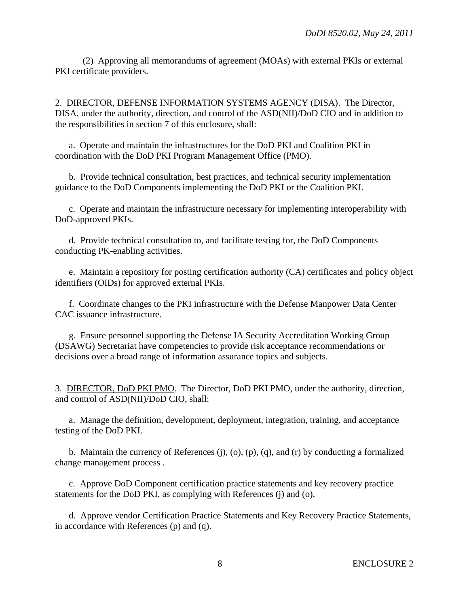(2) Approving all memorandums of agreement (MOAs) with external PKIs or external PKI certificate providers.

2. DIRECTOR, DEFENSE INFORMATION SYSTEMS AGENCY (DISA). The Director, DISA, under the authority, direction, and control of the ASD(NII)/DoD CIO and in addition to the responsibilities in section 7 of this enclosure, shall:

 a. Operate and maintain the infrastructures for the DoD PKI and Coalition PKI in coordination with the DoD PKI Program Management Office (PMO).

 b. Provide technical consultation, best practices, and technical security implementation guidance to the DoD Components implementing the DoD PKI or the Coalition PKI.

 c. Operate and maintain the infrastructure necessary for implementing interoperability with DoD-approved PKIs.

 d. Provide technical consultation to, and facilitate testing for, the DoD Components conducting PK-enabling activities.

 e. Maintain a repository for posting certification authority (CA) certificates and policy object identifiers (OIDs) for approved external PKIs.

 f. Coordinate changes to the PKI infrastructure with the Defense Manpower Data Center CAC issuance infrastructure.

 g. Ensure personnel supporting the Defense IA Security Accreditation Working Group (DSAWG) Secretariat have competencies to provide risk acceptance recommendations or decisions over a broad range of information assurance topics and subjects.

3. DIRECTOR, DoD PKI PMO. The Director, DoD PKI PMO, under the authority, direction, and control of ASD(NII)/DoD CIO, shall:

 a. Manage the definition, development, deployment, integration, training, and acceptance testing of the DoD PKI.

 b. Maintain the currency of References (j), (o), (p), (q), and (r) by conducting a formalized change management process .

 c. Approve DoD Component certification practice statements and key recovery practice statements for the DoD PKI, as complying with References (j) and (o).

 d. Approve vendor Certification Practice Statements and Key Recovery Practice Statements, in accordance with References (p) and (q).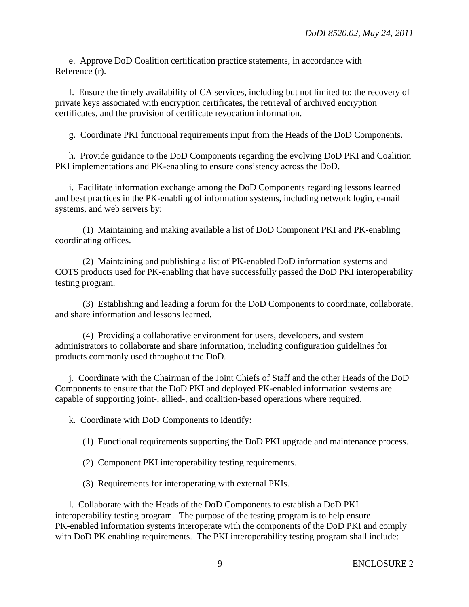e. Approve DoD Coalition certification practice statements, in accordance with Reference (r).

 f. Ensure the timely availability of CA services, including but not limited to: the recovery of private keys associated with encryption certificates, the retrieval of archived encryption certificates, and the provision of certificate revocation information.

g. Coordinate PKI functional requirements input from the Heads of the DoD Components.

 h. Provide guidance to the DoD Components regarding the evolving DoD PKI and Coalition PKI implementations and PK-enabling to ensure consistency across the DoD.

 i. Facilitate information exchange among the DoD Components regarding lessons learned and best practices in the PK-enabling of information systems, including network login, e-mail systems, and web servers by:

 (1) Maintaining and making available a list of DoD Component PKI and PK-enabling coordinating offices.

 (2) Maintaining and publishing a list of PK-enabled DoD information systems and COTS products used for PK-enabling that have successfully passed the DoD PKI interoperability testing program.

 (3) Establishing and leading a forum for the DoD Components to coordinate, collaborate, and share information and lessons learned.

 (4) Providing a collaborative environment for users, developers, and system administrators to collaborate and share information, including configuration guidelines for products commonly used throughout the DoD.

 j. Coordinate with the Chairman of the Joint Chiefs of Staff and the other Heads of the DoD Components to ensure that the DoD PKI and deployed PK-enabled information systems are capable of supporting joint-, allied-, and coalition-based operations where required.

k. Coordinate with DoD Components to identify:

(1) Functional requirements supporting the DoD PKI upgrade and maintenance process.

- (2) Component PKI interoperability testing requirements.
- (3) Requirements for interoperating with external PKIs.

 l. Collaborate with the Heads of the DoD Components to establish a DoD PKI interoperability testing program. The purpose of the testing program is to help ensure PK-enabled information systems interoperate with the components of the DoD PKI and comply with DoD PK enabling requirements. The PKI interoperability testing program shall include: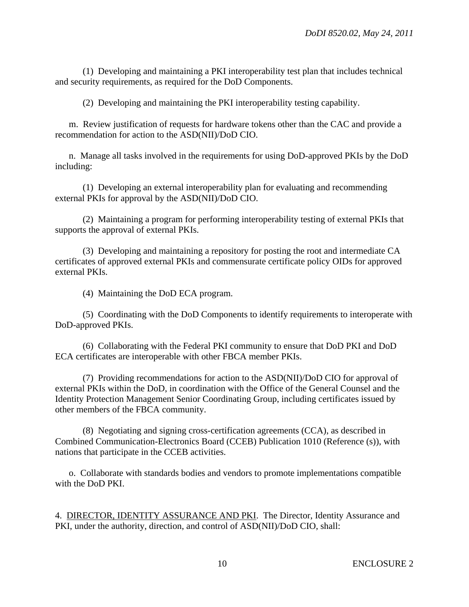(1) Developing and maintaining a PKI interoperability test plan that includes technical and security requirements, as required for the DoD Components.

(2) Developing and maintaining the PKI interoperability testing capability.

 m. Review justification of requests for hardware tokens other than the CAC and provide a recommendation for action to the ASD(NII)/DoD CIO.

 n. Manage all tasks involved in the requirements for using DoD-approved PKIs by the DoD including:

 (1) Developing an external interoperability plan for evaluating and recommending external PKIs for approval by the ASD(NII)/DoD CIO.

 (2) Maintaining a program for performing interoperability testing of external PKIs that supports the approval of external PKIs.

 (3) Developing and maintaining a repository for posting the root and intermediate CA certificates of approved external PKIs and commensurate certificate policy OIDs for approved external PKIs.

(4) Maintaining the DoD ECA program.

 (5) Coordinating with the DoD Components to identify requirements to interoperate with DoD-approved PKIs.

 (6) Collaborating with the Federal PKI community to ensure that DoD PKI and DoD ECA certificates are interoperable with other FBCA member PKIs.

 (7) Providing recommendations for action to the ASD(NII)/DoD CIO for approval of external PKIs within the DoD, in coordination with the Office of the General Counsel and the Identity Protection Management Senior Coordinating Group, including certificates issued by other members of the FBCA community.

 (8) Negotiating and signing cross-certification agreements (CCA), as described in Combined Communication-Electronics Board (CCEB) Publication 1010 (Reference (s)), with nations that participate in the CCEB activities.

 o. Collaborate with standards bodies and vendors to promote implementations compatible with the DoD PKI.

4. DIRECTOR, IDENTITY ASSURANCE AND PKI. The Director, Identity Assurance and PKI, under the authority, direction, and control of ASD(NII)/DoD CIO, shall: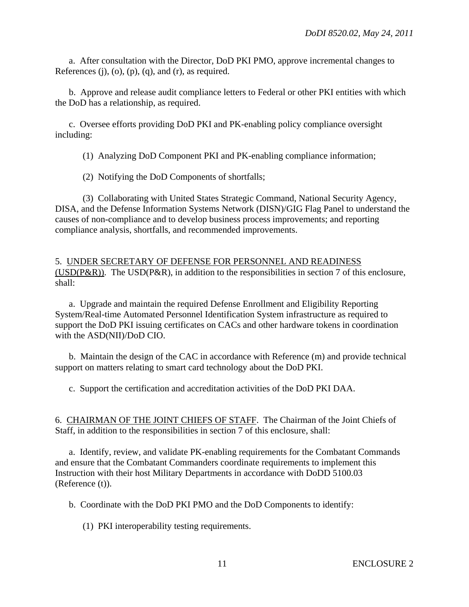a. After consultation with the Director, DoD PKI PMO, approve incremental changes to References  $(i)$ ,  $(o)$ ,  $(p)$ ,  $(q)$ , and  $(r)$ , as required.

 b. Approve and release audit compliance letters to Federal or other PKI entities with which the DoD has a relationship, as required.

 c. Oversee efforts providing DoD PKI and PK-enabling policy compliance oversight including:

(1) Analyzing DoD Component PKI and PK-enabling compliance information;

(2) Notifying the DoD Components of shortfalls;

 (3) Collaborating with United States Strategic Command, National Security Agency, DISA, and the Defense Information Systems Network (DISN)/GIG Flag Panel to understand the causes of non-compliance and to develop business process improvements; and reporting compliance analysis, shortfalls, and recommended improvements.

## 5. UNDER SECRETARY OF DEFENSE FOR PERSONNEL AND READINESS ( $USD(P\&R)$ ). The USD( $P\&R$ ), in addition to the responsibilities in section 7 of this enclosure, shall:

 a. Upgrade and maintain the required Defense Enrollment and Eligibility Reporting System/Real-time Automated Personnel Identification System infrastructure as required to support the DoD PKI issuing certificates on CACs and other hardware tokens in coordination with the ASD(NII)/DoD CIO.

 b. Maintain the design of the CAC in accordance with Reference (m) and provide technical support on matters relating to smart card technology about the DoD PKI.

c. Support the certification and accreditation activities of the DoD PKI DAA.

6. CHAIRMAN OF THE JOINT CHIEFS OF STAFF. The Chairman of the Joint Chiefs of Staff, in addition to the responsibilities in section 7 of this enclosure, shall:

 a. Identify, review, and validate PK-enabling requirements for the Combatant Commands and ensure that the Combatant Commanders coordinate requirements to implement this Instruction with their host Military Departments in accordance with DoDD 5100.03 (Reference (t)).

b. Coordinate with the DoD PKI PMO and the DoD Components to identify:

(1) PKI interoperability testing requirements.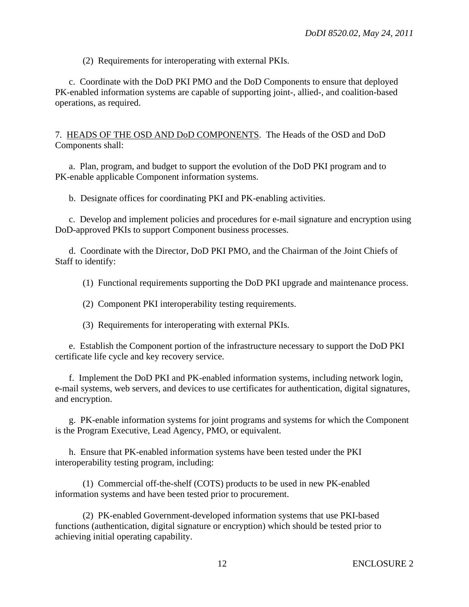(2) Requirements for interoperating with external PKIs.

 c. Coordinate with the DoD PKI PMO and the DoD Components to ensure that deployed PK-enabled information systems are capable of supporting joint-, allied-, and coalition-based operations, as required.

7. HEADS OF THE OSD AND DoD COMPONENTS. The Heads of the OSD and DoD Components shall:

 a. Plan, program, and budget to support the evolution of the DoD PKI program and to PK-enable applicable Component information systems.

b. Designate offices for coordinating PKI and PK-enabling activities.

 c. Develop and implement policies and procedures for e-mail signature and encryption using DoD-approved PKIs to support Component business processes.

 d. Coordinate with the Director, DoD PKI PMO, and the Chairman of the Joint Chiefs of Staff to identify:

(1) Functional requirements supporting the DoD PKI upgrade and maintenance process.

(2) Component PKI interoperability testing requirements.

(3) Requirements for interoperating with external PKIs.

 e. Establish the Component portion of the infrastructure necessary to support the DoD PKI certificate life cycle and key recovery service.

 f. Implement the DoD PKI and PK-enabled information systems, including network login, e-mail systems, web servers, and devices to use certificates for authentication, digital signatures, and encryption.

 g. PK-enable information systems for joint programs and systems for which the Component is the Program Executive, Lead Agency, PMO, or equivalent.

 h. Ensure that PK-enabled information systems have been tested under the PKI interoperability testing program, including:

 (1) Commercial off-the-shelf (COTS) products to be used in new PK-enabled information systems and have been tested prior to procurement.

 (2) PK-enabled Government-developed information systems that use PKI-based functions (authentication, digital signature or encryption) which should be tested prior to achieving initial operating capability.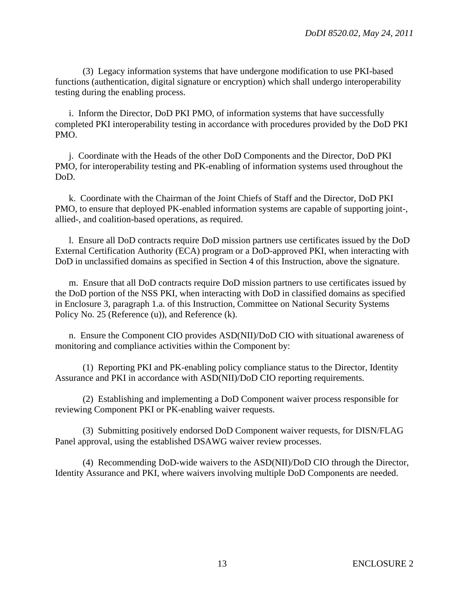(3) Legacy information systems that have undergone modification to use PKI-based functions (authentication, digital signature or encryption) which shall undergo interoperability testing during the enabling process.

 i. Inform the Director, DoD PKI PMO, of information systems that have successfully completed PKI interoperability testing in accordance with procedures provided by the DoD PKI PMO.

 j. Coordinate with the Heads of the other DoD Components and the Director, DoD PKI PMO, for interoperability testing and PK-enabling of information systems used throughout the DoD.

 k. Coordinate with the Chairman of the Joint Chiefs of Staff and the Director, DoD PKI PMO, to ensure that deployed PK-enabled information systems are capable of supporting joint-, allied-, and coalition-based operations, as required.

 l. Ensure all DoD contracts require DoD mission partners use certificates issued by the DoD External Certification Authority (ECA) program or a DoD-approved PKI, when interacting with DoD in unclassified domains as specified in Section 4 of this Instruction, above the signature.

 m. Ensure that all DoD contracts require DoD mission partners to use certificates issued by the DoD portion of the NSS PKI, when interacting with DoD in classified domains as specified in Enclosure 3, paragraph 1.a. of this Instruction, Committee on National Security Systems Policy No. 25 (Reference (u)), and Reference (k).

 n. Ensure the Component CIO provides ASD(NII)/DoD CIO with situational awareness of monitoring and compliance activities within the Component by:

 (1) Reporting PKI and PK-enabling policy compliance status to the Director, Identity Assurance and PKI in accordance with ASD(NII)/DoD CIO reporting requirements.

 (2) Establishing and implementing a DoD Component waiver process responsible for reviewing Component PKI or PK-enabling waiver requests.

 (3) Submitting positively endorsed DoD Component waiver requests, for DISN/FLAG Panel approval, using the established DSAWG waiver review processes.

 (4) Recommending DoD-wide waivers to the ASD(NII)/DoD CIO through the Director, Identity Assurance and PKI, where waivers involving multiple DoD Components are needed.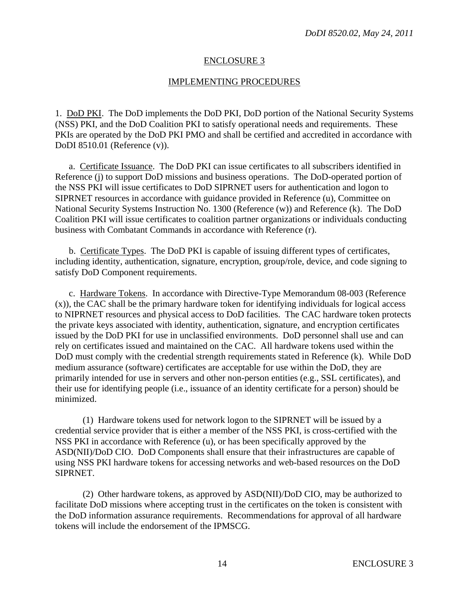#### ENCLOSURE 3

#### IMPLEMENTING PROCEDURES

1. DoD PKI. The DoD implements the DoD PKI, DoD portion of the National Security Systems (NSS) PKI, and the DoD Coalition PKI to satisfy operational needs and requirements. These PKIs are operated by the DoD PKI PMO and shall be certified and accredited in accordance with DoDI 8510.01 (Reference (v)).

 a. Certificate Issuance. The DoD PKI can issue certificates to all subscribers identified in Reference (j) to support DoD missions and business operations. The DoD-operated portion of the NSS PKI will issue certificates to DoD SIPRNET users for authentication and logon to SIPRNET resources in accordance with guidance provided in Reference (u), Committee on National Security Systems Instruction No. 1300 (Reference (w)) and Reference (k). The DoD Coalition PKI will issue certificates to coalition partner organizations or individuals conducting business with Combatant Commands in accordance with Reference (r).

 b. Certificate Types. The DoD PKI is capable of issuing different types of certificates, including identity, authentication, signature, encryption, group/role, device, and code signing to satisfy DoD Component requirements.

 c. Hardware Tokens. In accordance with Directive-Type Memorandum 08-003 (Reference (x)), the CAC shall be the primary hardware token for identifying individuals for logical access to NIPRNET resources and physical access to DoD facilities. The CAC hardware token protects the private keys associated with identity, authentication, signature, and encryption certificates issued by the DoD PKI for use in unclassified environments. DoD personnel shall use and can rely on certificates issued and maintained on the CAC. All hardware tokens used within the DoD must comply with the credential strength requirements stated in Reference (k). While DoD medium assurance (software) certificates are acceptable for use within the DoD, they are primarily intended for use in servers and other non-person entities (e.g., SSL certificates), and their use for identifying people (i.e., issuance of an identity certificate for a person) should be minimized.

 (1) Hardware tokens used for network logon to the SIPRNET will be issued by a credential service provider that is either a member of the NSS PKI, is cross-certified with the NSS PKI in accordance with Reference (u), or has been specifically approved by the ASD(NII)/DoD CIO. DoD Components shall ensure that their infrastructures are capable of using NSS PKI hardware tokens for accessing networks and web-based resources on the DoD SIPRNET.

 (2) Other hardware tokens, as approved by ASD(NII)/DoD CIO, may be authorized to facilitate DoD missions where accepting trust in the certificates on the token is consistent with the DoD information assurance requirements. Recommendations for approval of all hardware tokens will include the endorsement of the IPMSCG.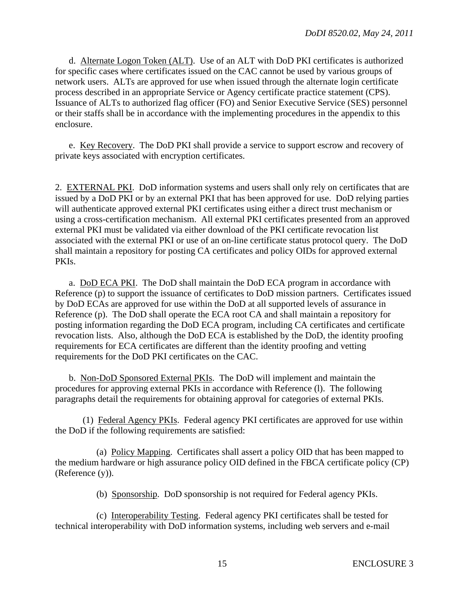d. Alternate Logon Token (ALT). Use of an ALT with DoD PKI certificates is authorized for specific cases where certificates issued on the CAC cannot be used by various groups of network users. ALTs are approved for use when issued through the alternate login certificate process described in an appropriate Service or Agency certificate practice statement (CPS). Issuance of ALTs to authorized flag officer (FO) and Senior Executive Service (SES) personnel or their staffs shall be in accordance with the implementing procedures in the appendix to this enclosure.

 e. Key Recovery. The DoD PKI shall provide a service to support escrow and recovery of private keys associated with encryption certificates.

2. EXTERNAL PKI. DoD information systems and users shall only rely on certificates that are issued by a DoD PKI or by an external PKI that has been approved for use. DoD relying parties will authenticate approved external PKI certificates using either a direct trust mechanism or using a cross-certification mechanism. All external PKI certificates presented from an approved external PKI must be validated via either download of the PKI certificate revocation list associated with the external PKI or use of an on-line certificate status protocol query. The DoD shall maintain a repository for posting CA certificates and policy OIDs for approved external PKIs.

 a. DoD ECA PKI. The DoD shall maintain the DoD ECA program in accordance with Reference (p) to support the issuance of certificates to DoD mission partners. Certificates issued by DoD ECAs are approved for use within the DoD at all supported levels of assurance in Reference (p). The DoD shall operate the ECA root CA and shall maintain a repository for posting information regarding the DoD ECA program, including CA certificates and certificate revocation lists. Also, although the DoD ECA is established by the DoD, the identity proofing requirements for ECA certificates are different than the identity proofing and vetting requirements for the DoD PKI certificates on the CAC.

 b. Non-DoD Sponsored External PKIs. The DoD will implement and maintain the procedures for approving external PKIs in accordance with Reference (l). The following paragraphs detail the requirements for obtaining approval for categories of external PKIs.

 (1) Federal Agency PKIs. Federal agency PKI certificates are approved for use within the DoD if the following requirements are satisfied:

 (a) Policy Mapping. Certificates shall assert a policy OID that has been mapped to the medium hardware or high assurance policy OID defined in the FBCA certificate policy (CP) (Reference (y)).

(b) Sponsorship. DoD sponsorship is not required for Federal agency PKIs.

 (c) Interoperability Testing. Federal agency PKI certificates shall be tested for technical interoperability with DoD information systems, including web servers and e-mail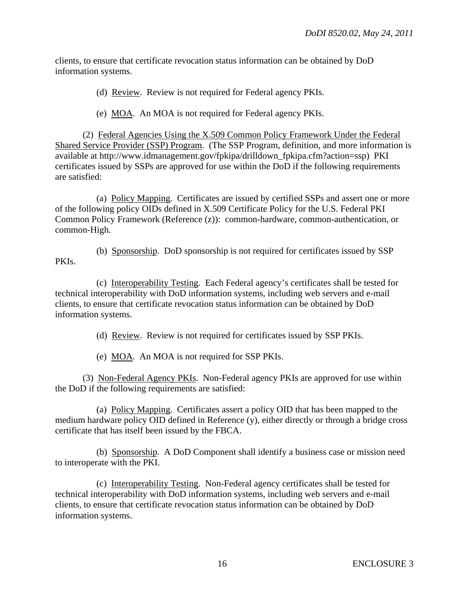clients, to ensure that certificate revocation status information can be obtained by DoD information systems.

(d) Review. Review is not required for Federal agency PKIs.

(e) MOA. An MOA is not required for Federal agency PKIs.

 (2) Federal Agencies Using the X.509 Common Policy Framework Under the Federal Shared Service Provider (SSP) Program. (The SSP Program, definition, and more information is available at http://www.idmanagement.gov/fpkipa/drilldown\_fpkipa.cfm?action=ssp) PKI certificates issued by SSPs are approved for use within the DoD if the following requirements are satisfied:

 (a) Policy Mapping. Certificates are issued by certified SSPs and assert one or more of the following policy OIDs defined in X.509 Certificate Policy for the U.S. Federal PKI Common Policy Framework (Reference (z)): common-hardware, common-authentication, or common-High.

 (b) Sponsorship. DoD sponsorship is not required for certificates issued by SSP PKIs.

 (c) Interoperability Testing. Each Federal agency's certificates shall be tested for technical interoperability with DoD information systems, including web servers and e-mail clients, to ensure that certificate revocation status information can be obtained by DoD information systems.

(d) Review. Review is not required for certificates issued by SSP PKIs.

(e) MOA. An MOA is not required for SSP PKIs.

 (3) Non-Federal Agency PKIs. Non-Federal agency PKIs are approved for use within the DoD if the following requirements are satisfied:

 (a) Policy Mapping. Certificates assert a policy OID that has been mapped to the medium hardware policy OID defined in Reference (y), either directly or through a bridge cross certificate that has itself been issued by the FBCA.

 (b) Sponsorship. A DoD Component shall identify a business case or mission need to interoperate with the PKI.

 (c) Interoperability Testing. Non-Federal agency certificates shall be tested for technical interoperability with DoD information systems, including web servers and e-mail clients, to ensure that certificate revocation status information can be obtained by DoD information systems.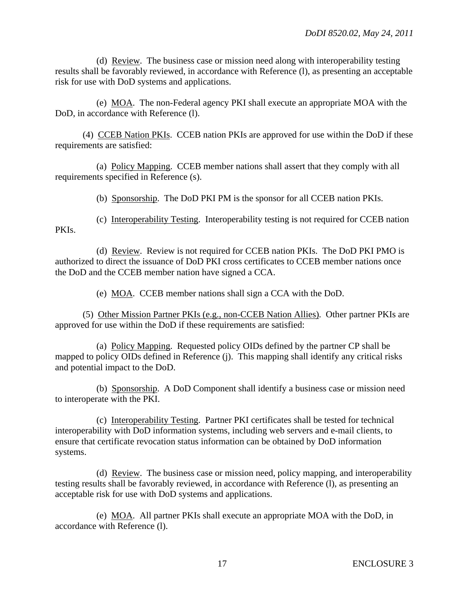(d) Review. The business case or mission need along with interoperability testing results shall be favorably reviewed, in accordance with Reference (l), as presenting an acceptable risk for use with DoD systems and applications.

 (e) MOA. The non-Federal agency PKI shall execute an appropriate MOA with the DoD, in accordance with Reference (l).

 (4) CCEB Nation PKIs. CCEB nation PKIs are approved for use within the DoD if these requirements are satisfied:

 (a) Policy Mapping. CCEB member nations shall assert that they comply with all requirements specified in Reference (s).

(b) Sponsorship. The DoD PKI PM is the sponsor for all CCEB nation PKIs.

 (c) Interoperability Testing. Interoperability testing is not required for CCEB nation PKIs.

 (d) Review. Review is not required for CCEB nation PKIs. The DoD PKI PMO is authorized to direct the issuance of DoD PKI cross certificates to CCEB member nations once the DoD and the CCEB member nation have signed a CCA.

(e) MOA. CCEB member nations shall sign a CCA with the DoD.

 (5) Other Mission Partner PKIs (e.g., non-CCEB Nation Allies). Other partner PKIs are approved for use within the DoD if these requirements are satisfied:

 (a) Policy Mapping. Requested policy OIDs defined by the partner CP shall be mapped to policy OIDs defined in Reference (j). This mapping shall identify any critical risks and potential impact to the DoD.

 (b) Sponsorship. A DoD Component shall identify a business case or mission need to interoperate with the PKI.

 (c) Interoperability Testing. Partner PKI certificates shall be tested for technical interoperability with DoD information systems, including web servers and e-mail clients, to ensure that certificate revocation status information can be obtained by DoD information systems.

 (d) Review. The business case or mission need, policy mapping, and interoperability testing results shall be favorably reviewed, in accordance with Reference (l), as presenting an acceptable risk for use with DoD systems and applications.

 (e) MOA. All partner PKIs shall execute an appropriate MOA with the DoD, in accordance with Reference (l).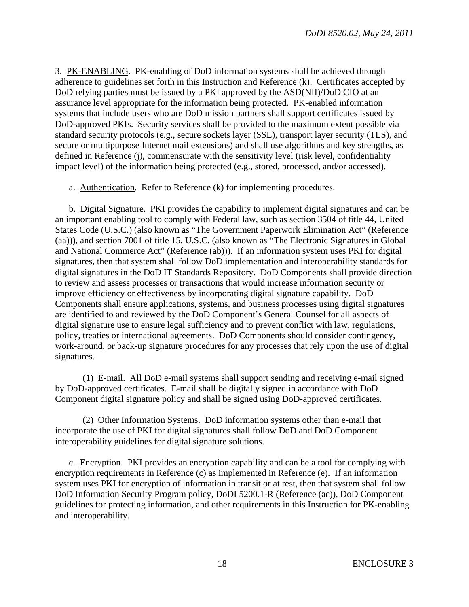3. PK-ENABLING. PK-enabling of DoD information systems shall be achieved through adherence to guidelines set forth in this Instruction and Reference (k). Certificates accepted by DoD relying parties must be issued by a PKI approved by the ASD(NII)/DoD CIO at an assurance level appropriate for the information being protected. PK-enabled information systems that include users who are DoD mission partners shall support certificates issued by DoD-approved PKIs. Security services shall be provided to the maximum extent possible via standard security protocols (e.g., secure sockets layer (SSL), transport layer security (TLS), and secure or multipurpose Internet mail extensions) and shall use algorithms and key strengths, as defined in Reference (j), commensurate with the sensitivity level (risk level, confidentiality impact level) of the information being protected (e.g., stored, processed, and/or accessed).

a. Authentication. Refer to Reference (k) for implementing procedures.

 b. Digital Signature. PKI provides the capability to implement digital signatures and can be an important enabling tool to comply with Federal law, such as section 3504 of title 44, United States Code (U.S.C.) (also known as "The Government Paperwork Elimination Act" (Reference (aa))), and section 7001 of title 15, U.S.C. (also known as "The Electronic Signatures in Global and National Commerce Act" (Reference (ab))). If an information system uses PKI for digital signatures, then that system shall follow DoD implementation and interoperability standards for digital signatures in the DoD IT Standards Repository. DoD Components shall provide direction to review and assess processes or transactions that would increase information security or improve efficiency or effectiveness by incorporating digital signature capability. DoD Components shall ensure applications, systems, and business processes using digital signatures are identified to and reviewed by the DoD Component's General Counsel for all aspects of digital signature use to ensure legal sufficiency and to prevent conflict with law, regulations, policy, treaties or international agreements. DoD Components should consider contingency, work-around, or back-up signature procedures for any processes that rely upon the use of digital signatures.

 (1) E-mail. All DoD e-mail systems shall support sending and receiving e-mail signed by DoD-approved certificates. E-mail shall be digitally signed in accordance with DoD Component digital signature policy and shall be signed using DoD-approved certificates.

 (2) Other Information Systems. DoD information systems other than e-mail that incorporate the use of PKI for digital signatures shall follow DoD and DoD Component interoperability guidelines for digital signature solutions.

 c. Encryption. PKI provides an encryption capability and can be a tool for complying with encryption requirements in Reference (c) as implemented in Reference (e). If an information system uses PKI for encryption of information in transit or at rest, then that system shall follow DoD Information Security Program policy, DoDI 5200.1-R (Reference (ac)), DoD Component guidelines for protecting information, and other requirements in this Instruction for PK-enabling and interoperability.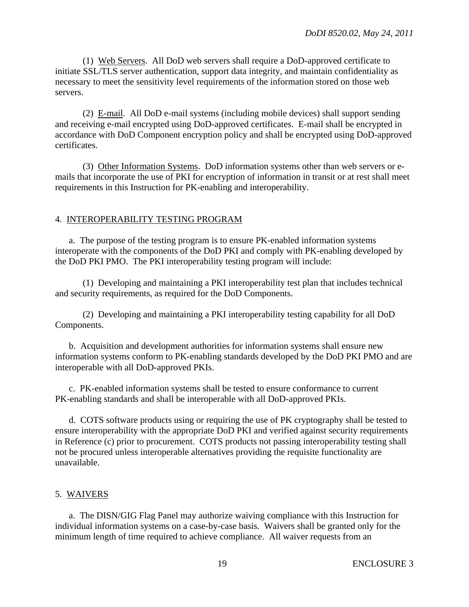(1) Web Servers. All DoD web servers shall require a DoD-approved certificate to initiate SSL/TLS server authentication, support data integrity, and maintain confidentiality as necessary to meet the sensitivity level requirements of the information stored on those web servers.

 (2) E-mail. All DoD e-mail systems (including mobile devices) shall support sending and receiving e-mail encrypted using DoD-approved certificates. E-mail shall be encrypted in accordance with DoD Component encryption policy and shall be encrypted using DoD-approved certificates.

 (3) Other Information Systems. DoD information systems other than web servers or emails that incorporate the use of PKI for encryption of information in transit or at rest shall meet requirements in this Instruction for PK-enabling and interoperability.

#### 4. INTEROPERABILITY TESTING PROGRAM

 a. The purpose of the testing program is to ensure PK-enabled information systems interoperate with the components of the DoD PKI and comply with PK-enabling developed by the DoD PKI PMO. The PKI interoperability testing program will include:

 (1) Developing and maintaining a PKI interoperability test plan that includes technical and security requirements, as required for the DoD Components.

 (2) Developing and maintaining a PKI interoperability testing capability for all DoD Components.

 b. Acquisition and development authorities for information systems shall ensure new information systems conform to PK-enabling standards developed by the DoD PKI PMO and are interoperable with all DoD-approved PKIs.

 c. PK-enabled information systems shall be tested to ensure conformance to current PK-enabling standards and shall be interoperable with all DoD-approved PKIs.

 d. COTS software products using or requiring the use of PK cryptography shall be tested to ensure interoperability with the appropriate DoD PKI and verified against security requirements in Reference (c) prior to procurement. COTS products not passing interoperability testing shall not be procured unless interoperable alternatives providing the requisite functionality are unavailable.

#### 5. WAIVERS

 a. The DISN/GIG Flag Panel may authorize waiving compliance with this Instruction for individual information systems on a case-by-case basis. Waivers shall be granted only for the minimum length of time required to achieve compliance. All waiver requests from an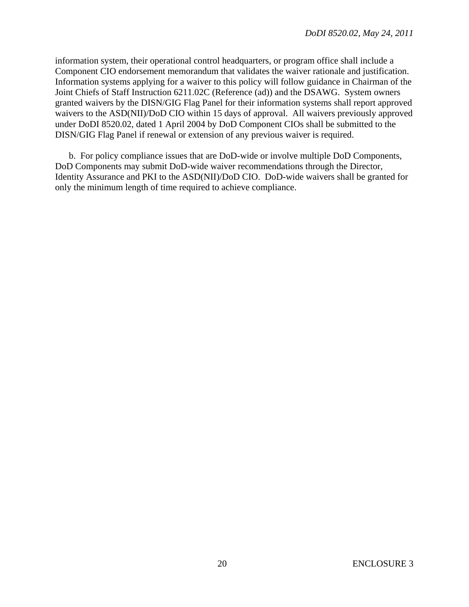information system, their operational control headquarters, or program office shall include a Component CIO endorsement memorandum that validates the waiver rationale and justification. Information systems applying for a waiver to this policy will follow guidance in Chairman of the Joint Chiefs of Staff Instruction 6211.02C (Reference (ad)) and the DSAWG. System owners granted waivers by the DISN/GIG Flag Panel for their information systems shall report approved waivers to the ASD(NII)/DoD CIO within 15 days of approval. All waivers previously approved under DoDI 8520.02, dated 1 April 2004 by DoD Component CIOs shall be submitted to the DISN/GIG Flag Panel if renewal or extension of any previous waiver is required.

 b. For policy compliance issues that are DoD-wide or involve multiple DoD Components, DoD Components may submit DoD-wide waiver recommendations through the Director, Identity Assurance and PKI to the ASD(NII)/DoD CIO. DoD-wide waivers shall be granted for only the minimum length of time required to achieve compliance.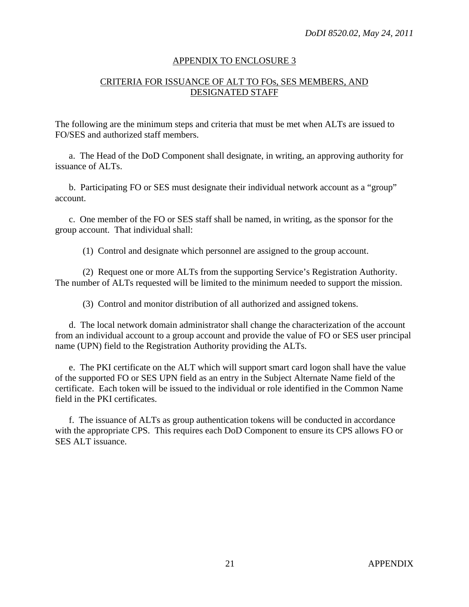#### APPENDIX TO ENCLOSURE 3

## CRITERIA FOR ISSUANCE OF ALT TO FOs, SES MEMBERS, AND DESIGNATED STAFF

The following are the minimum steps and criteria that must be met when ALTs are issued to FO/SES and authorized staff members.

 a. The Head of the DoD Component shall designate, in writing, an approving authority for issuance of ALTs.

 b. Participating FO or SES must designate their individual network account as a "group" account.

 c. One member of the FO or SES staff shall be named, in writing, as the sponsor for the group account. That individual shall:

(1) Control and designate which personnel are assigned to the group account.

 (2) Request one or more ALTs from the supporting Service's Registration Authority. The number of ALTs requested will be limited to the minimum needed to support the mission.

(3) Control and monitor distribution of all authorized and assigned tokens.

 d. The local network domain administrator shall change the characterization of the account from an individual account to a group account and provide the value of FO or SES user principal name (UPN) field to the Registration Authority providing the ALTs.

 e. The PKI certificate on the ALT which will support smart card logon shall have the value of the supported FO or SES UPN field as an entry in the Subject Alternate Name field of the certificate. Each token will be issued to the individual or role identified in the Common Name field in the PKI certificates.

 f. The issuance of ALTs as group authentication tokens will be conducted in accordance with the appropriate CPS. This requires each DoD Component to ensure its CPS allows FO or SES ALT issuance.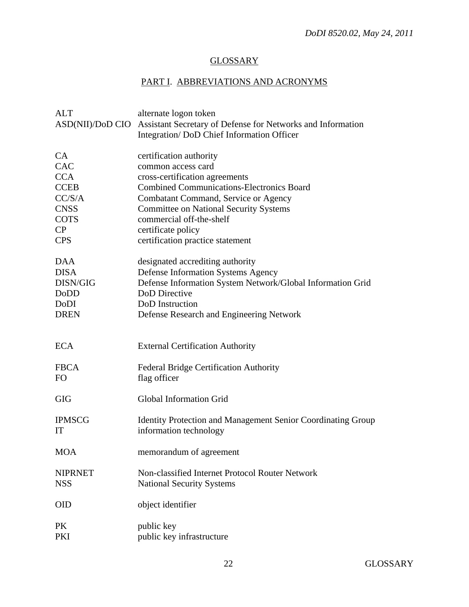# **GLOSSARY**

# PART I. ABBREVIATIONS AND ACRONYMS

| <b>ALT</b>       | alternate logon token                                               |
|------------------|---------------------------------------------------------------------|
| ASD(NII)/DoD CIO | Assistant Secretary of Defense for Networks and Information         |
|                  | Integration/DoD Chief Information Officer                           |
|                  |                                                                     |
| <b>CA</b>        | certification authority                                             |
| CAC              | common access card                                                  |
| <b>CCA</b>       | cross-certification agreements                                      |
| <b>CCEB</b>      | <b>Combined Communications-Electronics Board</b>                    |
| CC/S/A           | Combatant Command, Service or Agency                                |
| <b>CNSS</b>      | <b>Committee on National Security Systems</b>                       |
| <b>COTS</b>      | commercial off-the-shelf                                            |
| CP               | certificate policy                                                  |
| <b>CPS</b>       | certification practice statement                                    |
|                  |                                                                     |
| <b>DAA</b>       | designated accrediting authority                                    |
| <b>DISA</b>      | <b>Defense Information Systems Agency</b>                           |
| DISN/GIG         | Defense Information System Network/Global Information Grid          |
| DoDD             | DoD Directive                                                       |
| DoDI             | DoD Instruction                                                     |
| <b>DREN</b>      |                                                                     |
|                  | Defense Research and Engineering Network                            |
|                  |                                                                     |
| <b>ECA</b>       |                                                                     |
|                  | <b>External Certification Authority</b>                             |
|                  |                                                                     |
| <b>FBCA</b>      | <b>Federal Bridge Certification Authority</b>                       |
| FO               | flag officer                                                        |
|                  |                                                                     |
| <b>GIG</b>       | <b>Global Information Grid</b>                                      |
|                  |                                                                     |
| <b>IPMSCG</b>    | <b>Identity Protection and Management Senior Coordinating Group</b> |
| IT               | information technology                                              |
|                  |                                                                     |
| <b>MOA</b>       | memorandum of agreement                                             |
|                  |                                                                     |
| <b>NIPRNET</b>   | Non-classified Internet Protocol Router Network                     |
| <b>NSS</b>       | <b>National Security Systems</b>                                    |
|                  |                                                                     |
| <b>OID</b>       | object identifier                                                   |
|                  |                                                                     |
| <b>PK</b>        | public key                                                          |
| PKI              | public key infrastructure                                           |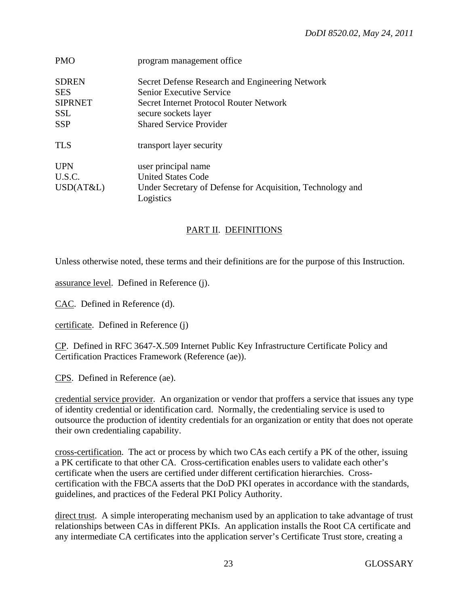| program management office                                               |
|-------------------------------------------------------------------------|
| Secret Defense Research and Engineering Network                         |
| <b>Senior Executive Service</b>                                         |
| Secret Internet Protocol Router Network                                 |
| secure sockets layer                                                    |
| <b>Shared Service Provider</b>                                          |
| transport layer security                                                |
| user principal name                                                     |
| <b>United States Code</b>                                               |
| Under Secretary of Defense for Acquisition, Technology and<br>Logistics |
|                                                                         |

# PART II. DEFINITIONS

Unless otherwise noted, these terms and their definitions are for the purpose of this Instruction.

assurance level. Defined in Reference (j).

CAC. Defined in Reference (d).

certificate. Defined in Reference (j)

CP. Defined in RFC 3647-X.509 Internet Public Key Infrastructure Certificate Policy and Certification Practices Framework (Reference (ae)).

CPS. Defined in Reference (ae).

credential service provider. An organization or vendor that proffers a service that issues any type of identity credential or identification card. Normally, the credentialing service is used to outsource the production of identity credentials for an organization or entity that does not operate their own credentialing capability.

cross-certification. The act or process by which two CAs each certify a PK of the other, issuing a PK certificate to that other CA. Cross-certification enables users to validate each other's certificate when the users are certified under different certification hierarchies. Crosscertification with the FBCA asserts that the DoD PKI operates in accordance with the standards, guidelines, and practices of the Federal PKI Policy Authority.

direct trust. A simple interoperating mechanism used by an application to take advantage of trust relationships between CAs in different PKIs. An application installs the Root CA certificate and any intermediate CA certificates into the application server's Certificate Trust store, creating a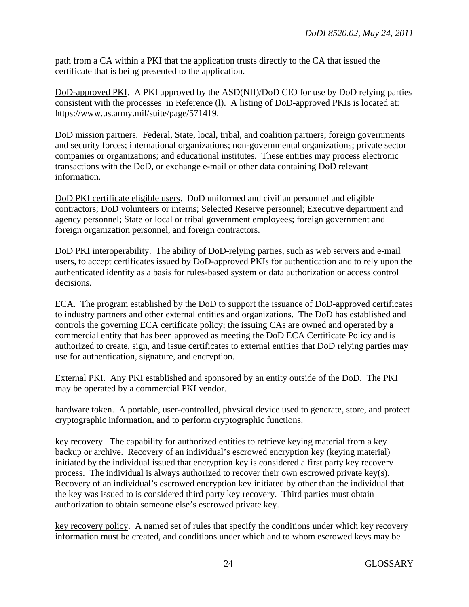path from a CA within a PKI that the application trusts directly to the CA that issued the certificate that is being presented to the application.

DoD-approved PKI. A PKI approved by the ASD(NII)/DoD CIO for use by DoD relying parties consistent with the processes in Reference (l). A listing of DoD-approved PKIs is located at: https://www.us.army.mil/suite/page/571419.

DoD mission partners. Federal, State, local, tribal, and coalition partners; foreign governments and security forces; international organizations; non-governmental organizations; private sector companies or organizations; and educational institutes. These entities may process electronic transactions with the DoD, or exchange e-mail or other data containing DoD relevant information.

DoD PKI certificate eligible users. DoD uniformed and civilian personnel and eligible contractors; DoD volunteers or interns; Selected Reserve personnel; Executive department and agency personnel; State or local or tribal government employees; foreign government and foreign organization personnel, and foreign contractors.

DoD PKI interoperability. The ability of DoD-relying parties, such as web servers and e-mail users, to accept certificates issued by DoD-approved PKIs for authentication and to rely upon the authenticated identity as a basis for rules-based system or data authorization or access control decisions.

ECA. The program established by the DoD to support the issuance of DoD-approved certificates to industry partners and other external entities and organizations. The DoD has established and controls the governing ECA certificate policy; the issuing CAs are owned and operated by a commercial entity that has been approved as meeting the DoD ECA Certificate Policy and is authorized to create, sign, and issue certificates to external entities that DoD relying parties may use for authentication, signature, and encryption.

External PKI. Any PKI established and sponsored by an entity outside of the DoD. The PKI may be operated by a commercial PKI vendor.

hardware token. A portable, user-controlled, physical device used to generate, store, and protect cryptographic information, and to perform cryptographic functions.

key recovery. The capability for authorized entities to retrieve keying material from a key backup or archive. Recovery of an individual's escrowed encryption key (keying material) initiated by the individual issued that encryption key is considered a first party key recovery process. The individual is always authorized to recover their own escrowed private key(s). Recovery of an individual's escrowed encryption key initiated by other than the individual that the key was issued to is considered third party key recovery. Third parties must obtain authorization to obtain someone else's escrowed private key.

key recovery policy. A named set of rules that specify the conditions under which key recovery information must be created, and conditions under which and to whom escrowed keys may be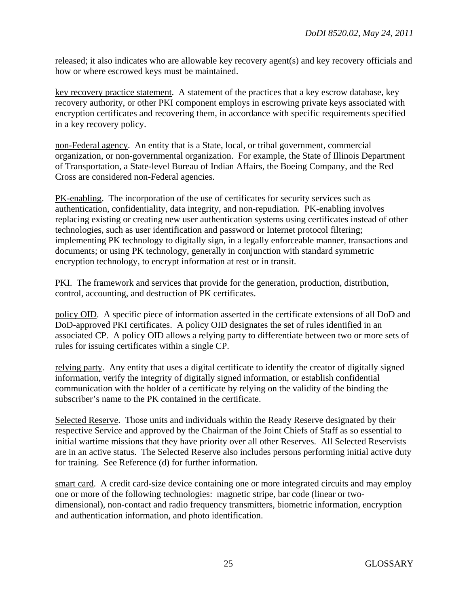released; it also indicates who are allowable key recovery agent(s) and key recovery officials and how or where escrowed keys must be maintained.

key recovery practice statement. A statement of the practices that a key escrow database, key recovery authority, or other PKI component employs in escrowing private keys associated with encryption certificates and recovering them, in accordance with specific requirements specified in a key recovery policy.

non-Federal agency. An entity that is a State, local, or tribal government, commercial organization, or non-governmental organization. For example, the State of Illinois Department of Transportation, a State-level Bureau of Indian Affairs, the Boeing Company, and the Red Cross are considered non-Federal agencies.

PK-enabling. The incorporation of the use of certificates for security services such as authentication, confidentiality, data integrity, and non-repudiation. PK-enabling involves replacing existing or creating new user authentication systems using certificates instead of other technologies, such as user identification and password or Internet protocol filtering; implementing PK technology to digitally sign, in a legally enforceable manner, transactions and documents; or using PK technology, generally in conjunction with standard symmetric encryption technology, to encrypt information at rest or in transit.

PKI. The framework and services that provide for the generation, production, distribution, control, accounting, and destruction of PK certificates.

policy OID. A specific piece of information asserted in the certificate extensions of all DoD and DoD-approved PKI certificates. A policy OID designates the set of rules identified in an associated CP. A policy OID allows a relying party to differentiate between two or more sets of rules for issuing certificates within a single CP.

relying party. Any entity that uses a digital certificate to identify the creator of digitally signed information, verify the integrity of digitally signed information, or establish confidential communication with the holder of a certificate by relying on the validity of the binding the subscriber's name to the PK contained in the certificate.

Selected Reserve. Those units and individuals within the Ready Reserve designated by their respective Service and approved by the Chairman of the Joint Chiefs of Staff as so essential to initial wartime missions that they have priority over all other Reserves. All Selected Reservists are in an active status. The Selected Reserve also includes persons performing initial active duty for training. See Reference (d) for further information.

smart card. A credit card-size device containing one or more integrated circuits and may employ one or more of the following technologies: magnetic stripe, bar code (linear or twodimensional), non-contact and radio frequency transmitters, biometric information, encryption and authentication information, and photo identification.